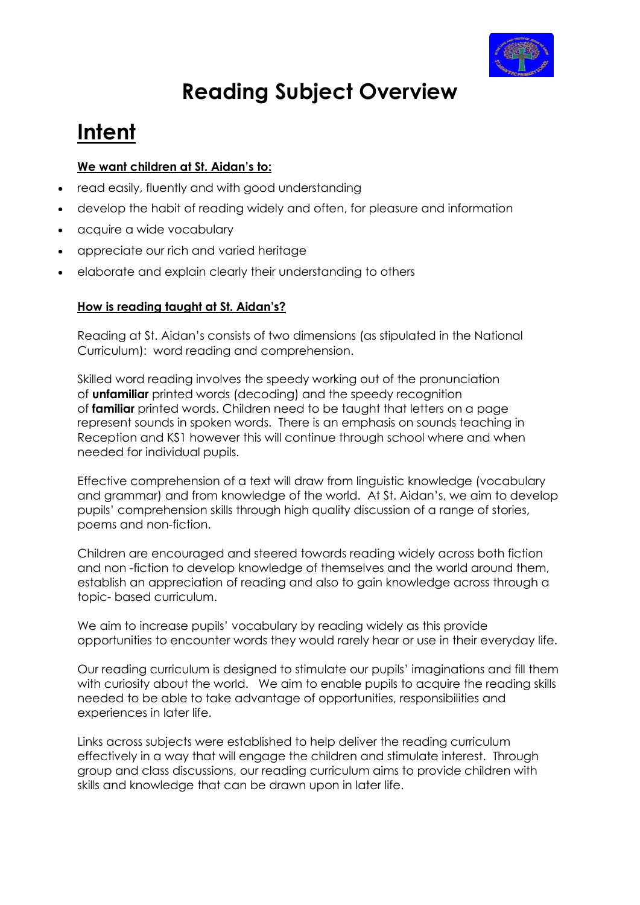

# **Reading Subject Overview**

# **Intent**

#### **We want children at St. Aidan's to:**

- read easily, fluently and with good understanding
- develop the habit of reading widely and often, for pleasure and information
- acquire a wide vocabulary
- appreciate our rich and varied heritage
- elaborate and explain clearly their understanding to others

#### **How is reading taught at St. Aidan's?**

Reading at St. Aidan's consists of two dimensions (as stipulated in the National Curriculum): word reading and comprehension.

Skilled word reading involves the speedy working out of the pronunciation of **unfamiliar** printed words (decoding) and the speedy recognition of **familiar** printed words. Children need to be taught that letters on a page represent sounds in spoken words. There is an emphasis on sounds teaching in Reception and KS1 however this will continue through school where and when needed for individual pupils.

Effective comprehension of a text will draw from linguistic knowledge (vocabulary and grammar) and from knowledge of the world. At St. Aidan's, we aim to develop pupils' comprehension skills through high quality discussion of a range of stories, poems and non-fiction.

Children are encouraged and steered towards reading widely across both fiction and non -fiction to develop knowledge of themselves and the world around them, establish an appreciation of reading and also to gain knowledge across through a topic- based curriculum.

We aim to increase pupils' vocabulary by reading widely as this provide opportunities to encounter words they would rarely hear or use in their everyday life.

Our reading curriculum is designed to stimulate our pupils' imaginations and fill them with curiosity about the world. We aim to enable pupils to acquire the reading skills needed to be able to take advantage of opportunities, responsibilities and experiences in later life.

Links across subjects were established to help deliver the reading curriculum effectively in a way that will engage the children and stimulate interest. Through group and class discussions, our reading curriculum aims to provide children with skills and knowledge that can be drawn upon in later life.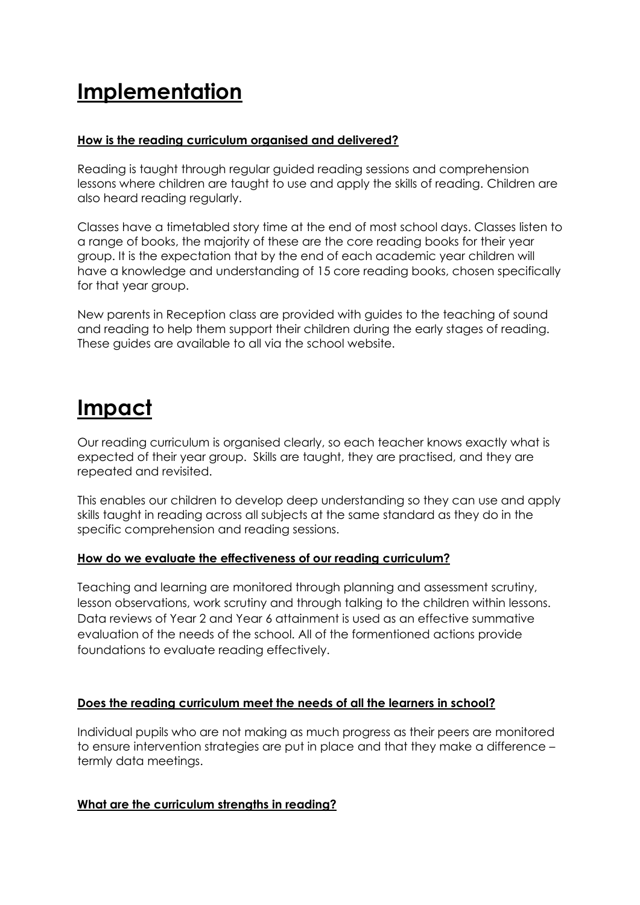# **Implementation**

#### **How is the reading curriculum organised and delivered?**

Reading is taught through regular guided reading sessions and comprehension lessons where children are taught to use and apply the skills of reading. Children are also heard reading regularly.

Classes have a timetabled story time at the end of most school days. Classes listen to a range of books, the majority of these are the core reading books for their year group. It is the expectation that by the end of each academic year children will have a knowledge and understanding of 15 core reading books, chosen specifically for that year group.

New parents in Reception class are provided with guides to the teaching of sound and reading to help them support their children during the early stages of reading. These guides are available to all via the school website.

### **Impact**

Our reading curriculum is organised clearly, so each teacher knows exactly what is expected of their year group. Skills are taught, they are practised, and they are repeated and revisited.

This enables our children to develop deep understanding so they can use and apply skills taught in reading across all subjects at the same standard as they do in the specific comprehension and reading sessions.

#### **How do we evaluate the effectiveness of our reading curriculum?**

Teaching and learning are monitored through planning and assessment scrutiny, lesson observations, work scrutiny and through talking to the children within lessons. Data reviews of Year 2 and Year 6 attainment is used as an effective summative evaluation of the needs of the school. All of the formentioned actions provide foundations to evaluate reading effectively.

#### **Does the reading curriculum meet the needs of all the learners in school?**

Individual pupils who are not making as much progress as their peers are monitored to ensure intervention strategies are put in place and that they make a difference – termly data meetings.

#### **What are the curriculum strengths in reading?**